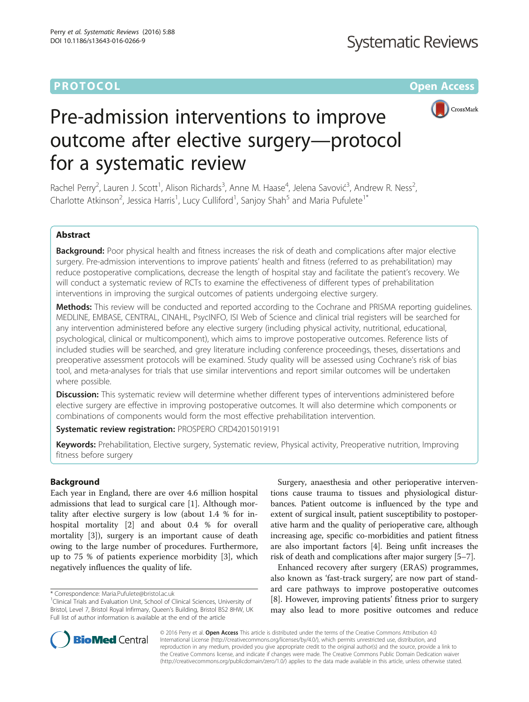## **PROTOCOL CONSUMING THE CONSUMING TEACHER CONSUMING THE CONSUMING TEACHER CONSUMING THE CONSUMING TEACHER CONSUMING**



# Pre-admission interventions to improve outcome after elective surgery—protocol for a systematic review

Rachel Perry<sup>2</sup>, Lauren J. Scott<sup>1</sup>, Alison Richards<sup>3</sup>, Anne M. Haase<sup>4</sup>, Jelena Savović<sup>3</sup>, Andrew R. Ness<sup>2</sup> .<br>, Charlotte Atkinson<sup>2</sup>, Jessica Harris<sup>1</sup>, Lucy Culliford<sup>1</sup>, Sanjoy Shah<sup>5</sup> and Maria Pufulete<sup>1\*</sup>

## Abstract

Background: Poor physical health and fitness increases the risk of death and complications after major elective surgery. Pre-admission interventions to improve patients' health and fitness (referred to as prehabilitation) may reduce postoperative complications, decrease the length of hospital stay and facilitate the patient's recovery. We will conduct a systematic review of RCTs to examine the effectiveness of different types of prehabilitation interventions in improving the surgical outcomes of patients undergoing elective surgery.

Methods: This review will be conducted and reported according to the Cochrane and PRISMA reporting guidelines. MEDLINE, EMBASE, CENTRAL, CINAHL, PsycINFO, ISI Web of Science and clinical trial registers will be searched for any intervention administered before any elective surgery (including physical activity, nutritional, educational, psychological, clinical or multicomponent), which aims to improve postoperative outcomes. Reference lists of included studies will be searched, and grey literature including conference proceedings, theses, dissertations and preoperative assessment protocols will be examined. Study quality will be assessed using Cochrane's risk of bias tool, and meta-analyses for trials that use similar interventions and report similar outcomes will be undertaken where possible.

**Discussion:** This systematic review will determine whether different types of interventions administered before elective surgery are effective in improving postoperative outcomes. It will also determine which components or combinations of components would form the most effective prehabilitation intervention.

Systematic review registration: PROSPERO [CRD42015019191](http://www.crd.york.ac.uk/PROSPERO/display_record.asp?ID=CRD42015019191)

Keywords: Prehabilitation, Elective surgery, Systematic review, Physical activity, Preoperative nutrition, Improving fitness before surgery

## Background

Each year in England, there are over 4.6 million hospital admissions that lead to surgical care [[1\]](#page-8-0). Although mortality after elective surgery is low (about 1.4 % for inhospital mortality [[2](#page-8-0)] and about 0.4 % for overall mortality [\[3\]](#page-8-0)), surgery is an important cause of death owing to the large number of procedures. Furthermore, up to 75 % of patients experience morbidity [[3\]](#page-8-0), which negatively influences the quality of life.

Surgery, anaesthesia and other perioperative interventions cause trauma to tissues and physiological disturbances. Patient outcome is influenced by the type and extent of surgical insult, patient susceptibility to postoperative harm and the quality of perioperative care, although increasing age, specific co-morbidities and patient fitness are also important factors [\[4](#page-8-0)]. Being unfit increases the risk of death and complications after major surgery [[5](#page-8-0)–[7](#page-8-0)].

Enhanced recovery after surgery (ERAS) programmes, also known as 'fast-track surgery', are now part of standard care pathways to improve postoperative outcomes [[8\]](#page-8-0). However, improving patients' fitness prior to surgery may also lead to more positive outcomes and reduce



© 2016 Perry et al. Open Access This article is distributed under the terms of the Creative Commons Attribution 4.0 International License [\(http://creativecommons.org/licenses/by/4.0/](http://creativecommons.org/licenses/by/4.0/)), which permits unrestricted use, distribution, and reproduction in any medium, provided you give appropriate credit to the original author(s) and the source, provide a link to the Creative Commons license, and indicate if changes were made. The Creative Commons Public Domain Dedication waiver [\(http://creativecommons.org/publicdomain/zero/1.0/](http://creativecommons.org/publicdomain/zero/1.0/)) applies to the data made available in this article, unless otherwise stated.

<sup>\*</sup> Correspondence: [Maria.Pufulete@bristol.ac.uk](mailto:Maria.Pufulete@bristol.ac.uk) <sup>1</sup>

<sup>&</sup>lt;sup>1</sup>Clinical Trials and Evaluation Unit, School of Clinical Sciences, University of Bristol, Level 7, Bristol Royal Infirmary, Queen's Building, Bristol BS2 8HW, UK Full list of author information is available at the end of the article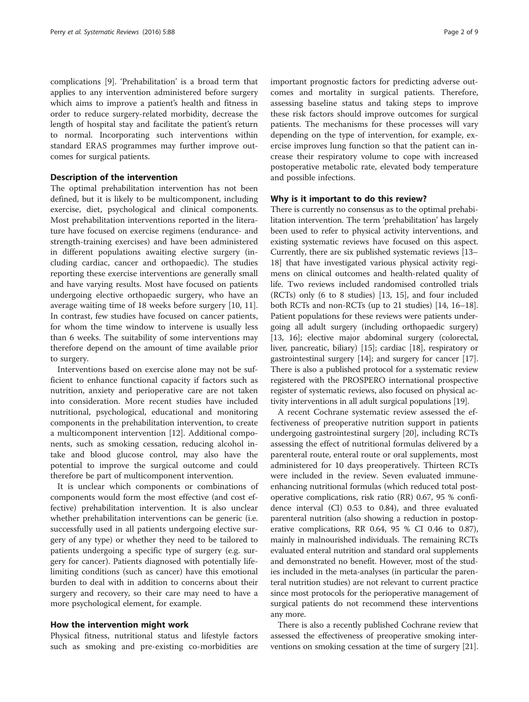complications [\[9\]](#page-8-0). 'Prehabilitation' is a broad term that applies to any intervention administered before surgery which aims to improve a patient's health and fitness in order to reduce surgery-related morbidity, decrease the length of hospital stay and facilitate the patient's return to normal. Incorporating such interventions within standard ERAS programmes may further improve outcomes for surgical patients.

## Description of the intervention

The optimal prehabilitation intervention has not been defined, but it is likely to be multicomponent, including exercise, diet, psychological and clinical components. Most prehabilitation interventions reported in the literature have focused on exercise regimens (endurance- and strength-training exercises) and have been administered in different populations awaiting elective surgery (including cardiac, cancer and orthopaedic). The studies reporting these exercise interventions are generally small and have varying results. Most have focused on patients undergoing elective orthopaedic surgery, who have an average waiting time of 18 weeks before surgery [\[10](#page-8-0), [11](#page-8-0)]. In contrast, few studies have focused on cancer patients, for whom the time window to intervene is usually less than 6 weeks. The suitability of some interventions may therefore depend on the amount of time available prior to surgery.

Interventions based on exercise alone may not be sufficient to enhance functional capacity if factors such as nutrition, anxiety and perioperative care are not taken into consideration. More recent studies have included nutritional, psychological, educational and monitoring components in the prehabilitation intervention, to create a multicomponent intervention [\[12](#page-8-0)]. Additional components, such as smoking cessation, reducing alcohol intake and blood glucose control, may also have the potential to improve the surgical outcome and could therefore be part of multicomponent intervention.

It is unclear which components or combinations of components would form the most effective (and cost effective) prehabilitation intervention. It is also unclear whether prehabilitation interventions can be generic (i.e. successfully used in all patients undergoing elective surgery of any type) or whether they need to be tailored to patients undergoing a specific type of surgery (e.g. surgery for cancer). Patients diagnosed with potentially lifelimiting conditions (such as cancer) have this emotional burden to deal with in addition to concerns about their surgery and recovery, so their care may need to have a more psychological element, for example.

## How the intervention might work

Physical fitness, nutritional status and lifestyle factors such as smoking and pre-existing co-morbidities are

important prognostic factors for predicting adverse outcomes and mortality in surgical patients. Therefore, assessing baseline status and taking steps to improve these risk factors should improve outcomes for surgical patients. The mechanisms for these processes will vary depending on the type of intervention, for example, exercise improves lung function so that the patient can increase their respiratory volume to cope with increased postoperative metabolic rate, elevated body temperature and possible infections.

## Why is it important to do this review?

There is currently no consensus as to the optimal prehabilitation intervention. The term 'prehabilitation' has largely been used to refer to physical activity interventions, and existing systematic reviews have focused on this aspect. Currently, there are six published systematic reviews [\[13](#page-8-0)– [18](#page-8-0)] that have investigated various physical activity regimens on clinical outcomes and health-related quality of life. Two reviews included randomised controlled trials (RCTs) only (6 to 8 studies) [[13](#page-8-0), [15](#page-8-0)], and four included both RCTs and non-RCTs (up to 21 studies) [\[14, 16](#page-8-0)–[18](#page-8-0)]. Patient populations for these reviews were patients undergoing all adult surgery (including orthopaedic surgery) [[13](#page-8-0), [16](#page-8-0)]; elective major abdominal surgery (colorectal, liver, pancreatic, biliary) [[15](#page-8-0)]; cardiac [\[18\]](#page-8-0), respiratory or gastrointestinal surgery [[14](#page-8-0)]; and surgery for cancer [[17](#page-8-0)]. There is also a published protocol for a systematic review registered with the PROSPERO international prospective register of systematic reviews, also focused on physical activity interventions in all adult surgical populations [[19](#page-8-0)].

A recent Cochrane systematic review assessed the effectiveness of preoperative nutrition support in patients undergoing gastrointestinal surgery [\[20](#page-8-0)], including RCTs assessing the effect of nutritional formulas delivered by a parenteral route, enteral route or oral supplements, most administered for 10 days preoperatively. Thirteen RCTs were included in the review. Seven evaluated immuneenhancing nutritional formulas (which reduced total postoperative complications, risk ratio (RR) 0.67, 95 % confidence interval (CI) 0.53 to 0.84), and three evaluated parenteral nutrition (also showing a reduction in postoperative complications, RR 0.64, 95 % CI 0.46 to 0.87), mainly in malnourished individuals. The remaining RCTs evaluated enteral nutrition and standard oral supplements and demonstrated no benefit. However, most of the studies included in the meta-analyses (in particular the parenteral nutrition studies) are not relevant to current practice since most protocols for the perioperative management of surgical patients do not recommend these interventions any more.

There is also a recently published Cochrane review that assessed the effectiveness of preoperative smoking interventions on smoking cessation at the time of surgery [[21](#page-8-0)].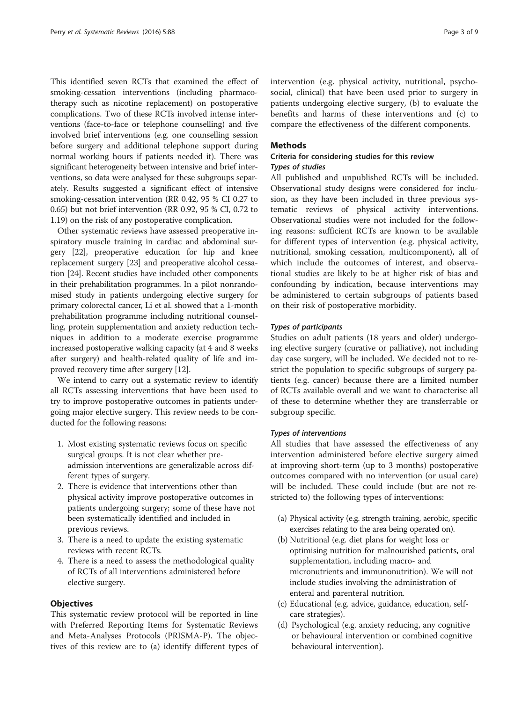This identified seven RCTs that examined the effect of smoking-cessation interventions (including pharmacotherapy such as nicotine replacement) on postoperative complications. Two of these RCTs involved intense interventions (face-to-face or telephone counselling) and five involved brief interventions (e.g. one counselling session before surgery and additional telephone support during normal working hours if patients needed it). There was significant heterogeneity between intensive and brief interventions, so data were analysed for these subgroups separately. Results suggested a significant effect of intensive smoking-cessation intervention (RR 0.42, 95 % CI 0.27 to 0.65) but not brief intervention (RR 0.92, 95 % CI, 0.72 to 1.19) on the risk of any postoperative complication.

Other systematic reviews have assessed preoperative inspiratory muscle training in cardiac and abdominal surgery [\[22\]](#page-8-0), preoperative education for hip and knee replacement surgery [[23\]](#page-8-0) and preoperative alcohol cessation [[24](#page-8-0)]. Recent studies have included other components in their prehabilitation programmes. In a pilot nonrandomised study in patients undergoing elective surgery for primary colorectal cancer, Li et al. showed that a 1-month prehabilitation programme including nutritional counselling, protein supplementation and anxiety reduction techniques in addition to a moderate exercise programme increased postoperative walking capacity (at 4 and 8 weeks after surgery) and health-related quality of life and improved recovery time after surgery [[12](#page-8-0)].

We intend to carry out a systematic review to identify all RCTs assessing interventions that have been used to try to improve postoperative outcomes in patients undergoing major elective surgery. This review needs to be conducted for the following reasons:

- 1. Most existing systematic reviews focus on specific surgical groups. It is not clear whether preadmission interventions are generalizable across different types of surgery.
- 2. There is evidence that interventions other than physical activity improve postoperative outcomes in patients undergoing surgery; some of these have not been systematically identified and included in previous reviews.
- 3. There is a need to update the existing systematic reviews with recent RCTs.
- 4. There is a need to assess the methodological quality of RCTs of all interventions administered before elective surgery.

## **Objectives**

This systematic review protocol will be reported in line with Preferred Reporting Items for Systematic Reviews and Meta-Analyses Protocols (PRISMA-P). The objectives of this review are to (a) identify different types of intervention (e.g. physical activity, nutritional, psychosocial, clinical) that have been used prior to surgery in patients undergoing elective surgery, (b) to evaluate the benefits and harms of these interventions and (c) to compare the effectiveness of the different components.

## Methods

## Criteria for considering studies for this review Types of studies

All published and unpublished RCTs will be included. Observational study designs were considered for inclusion, as they have been included in three previous systematic reviews of physical activity interventions. Observational studies were not included for the following reasons: sufficient RCTs are known to be available for different types of intervention (e.g. physical activity, nutritional, smoking cessation, multicomponent), all of which include the outcomes of interest, and observational studies are likely to be at higher risk of bias and confounding by indication, because interventions may be administered to certain subgroups of patients based on their risk of postoperative morbidity.

### Types of participants

Studies on adult patients (18 years and older) undergoing elective surgery (curative or palliative), not including day case surgery, will be included. We decided not to restrict the population to specific subgroups of surgery patients (e.g. cancer) because there are a limited number of RCTs available overall and we want to characterise all of these to determine whether they are transferrable or subgroup specific.

#### Types of interventions

All studies that have assessed the effectiveness of any intervention administered before elective surgery aimed at improving short-term (up to 3 months) postoperative outcomes compared with no intervention (or usual care) will be included. These could include (but are not restricted to) the following types of interventions:

- (a) Physical activity (e.g. strength training, aerobic, specific exercises relating to the area being operated on).
- (b) Nutritional (e.g. diet plans for weight loss or optimising nutrition for malnourished patients, oral supplementation, including macro- and micronutrients and immunonutrition). We will not include studies involving the administration of enteral and parenteral nutrition.
- (c) Educational (e.g. advice, guidance, education, selfcare strategies).
- (d) Psychological (e.g. anxiety reducing, any cognitive or behavioural intervention or combined cognitive behavioural intervention).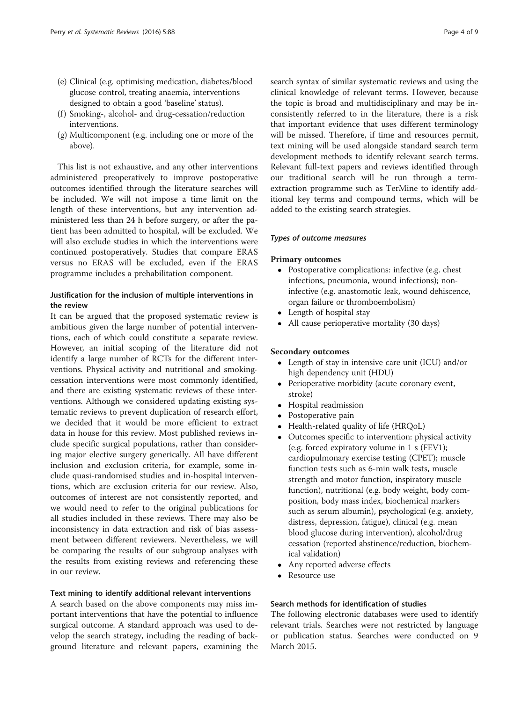- (e) Clinical (e.g. optimising medication, diabetes/blood glucose control, treating anaemia, interventions designed to obtain a good 'baseline' status).
- (f) Smoking-, alcohol- and drug-cessation/reduction interventions.
- (g) Multicomponent (e.g. including one or more of the above).

This list is not exhaustive, and any other interventions administered preoperatively to improve postoperative outcomes identified through the literature searches will be included. We will not impose a time limit on the length of these interventions, but any intervention administered less than 24 h before surgery, or after the patient has been admitted to hospital, will be excluded. We will also exclude studies in which the interventions were continued postoperatively. Studies that compare ERAS versus no ERAS will be excluded, even if the ERAS programme includes a prehabilitation component.

## Justification for the inclusion of multiple interventions in the review

It can be argued that the proposed systematic review is ambitious given the large number of potential interventions, each of which could constitute a separate review. However, an initial scoping of the literature did not identify a large number of RCTs for the different interventions. Physical activity and nutritional and smokingcessation interventions were most commonly identified, and there are existing systematic reviews of these interventions. Although we considered updating existing systematic reviews to prevent duplication of research effort, we decided that it would be more efficient to extract data in house for this review. Most published reviews include specific surgical populations, rather than considering major elective surgery generically. All have different inclusion and exclusion criteria, for example, some include quasi-randomised studies and in-hospital interventions, which are exclusion criteria for our review. Also, outcomes of interest are not consistently reported, and we would need to refer to the original publications for all studies included in these reviews. There may also be inconsistency in data extraction and risk of bias assessment between different reviewers. Nevertheless, we will be comparing the results of our subgroup analyses with the results from existing reviews and referencing these in our review.

#### Text mining to identify additional relevant interventions

A search based on the above components may miss important interventions that have the potential to influence surgical outcome. A standard approach was used to develop the search strategy, including the reading of background literature and relevant papers, examining the search syntax of similar systematic reviews and using the clinical knowledge of relevant terms. However, because the topic is broad and multidisciplinary and may be inconsistently referred to in the literature, there is a risk that important evidence that uses different terminology will be missed. Therefore, if time and resources permit, text mining will be used alongside standard search term development methods to identify relevant search terms. Relevant full-text papers and reviews identified through our traditional search will be run through a termextraction programme such as TerMine to identify additional key terms and compound terms, which will be added to the existing search strategies.

## Types of outcome measures

## Primary outcomes

- Postoperative complications: infective (e.g. chest infections, pneumonia, wound infections); noninfective (e.g. anastomotic leak, wound dehiscence, organ failure or thromboembolism)
- Length of hospital stay
- All cause perioperative mortality (30 days)

## Secondary outcomes

- Length of stay in intensive care unit (ICU) and/or high dependency unit (HDU)
- Perioperative morbidity (acute coronary event, stroke)
- Hospital readmission
- Postoperative pain
- Health-related quality of life (HRQoL)
- Outcomes specific to intervention: physical activity (e.g. forced expiratory volume in 1 s (FEV1); cardiopulmonary exercise testing (CPET); muscle function tests such as 6-min walk tests, muscle strength and motor function, inspiratory muscle function), nutritional (e.g. body weight, body composition, body mass index, biochemical markers such as serum albumin), psychological (e.g. anxiety, distress, depression, fatigue), clinical (e.g. mean blood glucose during intervention), alcohol/drug cessation (reported abstinence/reduction, biochemical validation)
- Any reported adverse effects
- Resource use

## Search methods for identification of studies

The following electronic databases were used to identify relevant trials. Searches were not restricted by language or publication status. Searches were conducted on 9 March 2015.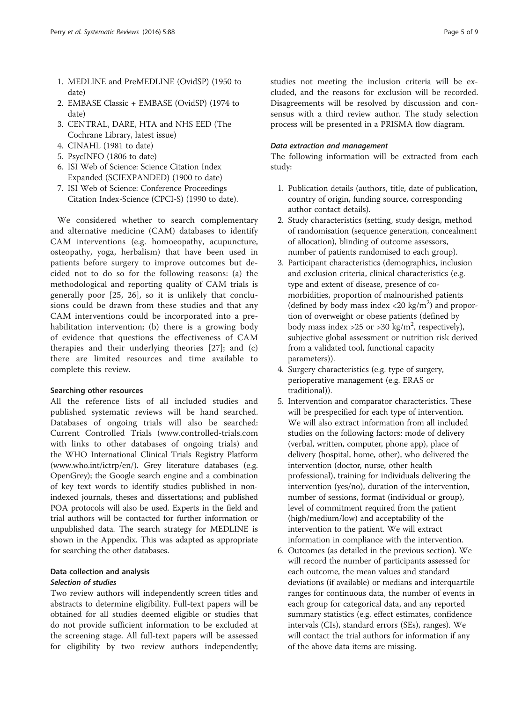- 1. MEDLINE and PreMEDLINE (OvidSP) (1950 to date)
- 2. EMBASE Classic + EMBASE (OvidSP) (1974 to date)
- 3. CENTRAL, DARE, HTA and NHS EED (The Cochrane Library, latest issue)
- 4. CINAHL (1981 to date)
- 5. PsycINFO (1806 to date)
- 6. ISI Web of Science: Science Citation Index Expanded (SCIEXPANDED) (1900 to date)
- 7. ISI Web of Science: Conference Proceedings Citation Index-Science (CPCI-S) (1990 to date).

We considered whether to search complementary and alternative medicine (CAM) databases to identify CAM interventions (e.g. homoeopathy, acupuncture, osteopathy, yoga, herbalism) that have been used in patients before surgery to improve outcomes but decided not to do so for the following reasons: (a) the methodological and reporting quality of CAM trials is generally poor [[25, 26\]](#page-8-0), so it is unlikely that conclusions could be drawn from these studies and that any CAM interventions could be incorporated into a prehabilitation intervention; (b) there is a growing body of evidence that questions the effectiveness of CAM therapies and their underlying theories [[27\]](#page-8-0); and (c) there are limited resources and time available to complete this review.

#### Searching other resources

All the reference lists of all included studies and published systematic reviews will be hand searched. Databases of ongoing trials will also be searched: Current Controlled Trials ([www.controlled-trials.com](http://www.controlled-trials.com/) with links to other databases of ongoing trials) and the WHO International Clinical Trials Registry Platform ([www.who.int/ictrp/en/\)](http://www.who.int/ictrp/en/). Grey literature databases (e.g. OpenGrey); the Google search engine and a combination of key text words to identify studies published in nonindexed journals, theses and dissertations; and published POA protocols will also be used. Experts in the field and trial authors will be contacted for further information or unpublished data. The search strategy for MEDLINE is shown in the [Appendix.](#page-6-0) This was adapted as appropriate for searching the other databases.

## Data collection and analysis Selection of studies

Two review authors will independently screen titles and abstracts to determine eligibility. Full-text papers will be obtained for all studies deemed eligible or studies that do not provide sufficient information to be excluded at the screening stage. All full-text papers will be assessed for eligibility by two review authors independently;

studies not meeting the inclusion criteria will be excluded, and the reasons for exclusion will be recorded. Disagreements will be resolved by discussion and consensus with a third review author. The study selection process will be presented in a PRISMA flow diagram.

## Data extraction and management

The following information will be extracted from each study:

- 1. Publication details (authors, title, date of publication, country of origin, funding source, corresponding author contact details).
- 2. Study characteristics (setting, study design, method of randomisation (sequence generation, concealment of allocation), blinding of outcome assessors, number of patients randomised to each group).
- 3. Participant characteristics (demographics, inclusion and exclusion criteria, clinical characteristics (e.g. type and extent of disease, presence of comorbidities, proportion of malnourished patients (defined by body mass index  $\langle 20 \text{ kg/m}^2 \rangle$  and proportion of overweight or obese patients (defined by body mass index > 25 or > 30 kg/m<sup>2</sup>, respectively), subjective global assessment or nutrition risk derived from a validated tool, functional capacity parameters)).
- 4. Surgery characteristics (e.g. type of surgery, perioperative management (e.g. ERAS or traditional)).
- 5. Intervention and comparator characteristics. These will be prespecified for each type of intervention. We will also extract information from all included studies on the following factors: mode of delivery (verbal, written, computer, phone app), place of delivery (hospital, home, other), who delivered the intervention (doctor, nurse, other health professional), training for individuals delivering the intervention (yes/no), duration of the intervention, number of sessions, format (individual or group), level of commitment required from the patient (high/medium/low) and acceptability of the intervention to the patient. We will extract information in compliance with the intervention.
- 6. Outcomes (as detailed in the previous section). We will record the number of participants assessed for each outcome, the mean values and standard deviations (if available) or medians and interquartile ranges for continuous data, the number of events in each group for categorical data, and any reported summary statistics (e.g. effect estimates, confidence intervals (CIs), standard errors (SEs), ranges). We will contact the trial authors for information if any of the above data items are missing.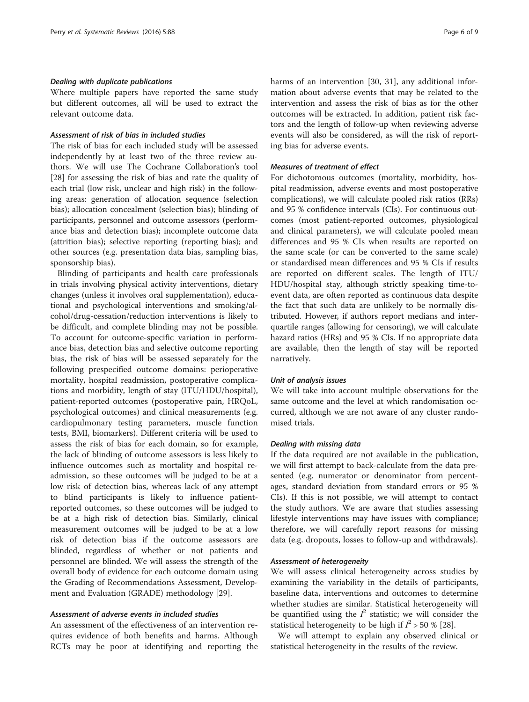## Dealing with duplicate publications

Where multiple papers have reported the same study but different outcomes, all will be used to extract the relevant outcome data.

## Assessment of risk of bias in included studies

The risk of bias for each included study will be assessed independently by at least two of the three review authors. We will use The Cochrane Collaboration's tool [[28\]](#page-8-0) for assessing the risk of bias and rate the quality of each trial (low risk, unclear and high risk) in the following areas: generation of allocation sequence (selection bias); allocation concealment (selection bias); blinding of participants, personnel and outcome assessors (performance bias and detection bias); incomplete outcome data (attrition bias); selective reporting (reporting bias); and other sources (e.g. presentation data bias, sampling bias, sponsorship bias).

Blinding of participants and health care professionals in trials involving physical activity interventions, dietary changes (unless it involves oral supplementation), educational and psychological interventions and smoking/alcohol/drug-cessation/reduction interventions is likely to be difficult, and complete blinding may not be possible. To account for outcome-specific variation in performance bias, detection bias and selective outcome reporting bias, the risk of bias will be assessed separately for the following prespecified outcome domains: perioperative mortality, hospital readmission, postoperative complications and morbidity, length of stay (ITU/HDU/hospital), patient-reported outcomes (postoperative pain, HRQoL, psychological outcomes) and clinical measurements (e.g. cardiopulmonary testing parameters, muscle function tests, BMI, biomarkers). Different criteria will be used to assess the risk of bias for each domain, so for example, the lack of blinding of outcome assessors is less likely to influence outcomes such as mortality and hospital readmission, so these outcomes will be judged to be at a low risk of detection bias, whereas lack of any attempt to blind participants is likely to influence patientreported outcomes, so these outcomes will be judged to be at a high risk of detection bias. Similarly, clinical measurement outcomes will be judged to be at a low risk of detection bias if the outcome assessors are blinded, regardless of whether or not patients and personnel are blinded. We will assess the strength of the overall body of evidence for each outcome domain using the Grading of Recommendations Assessment, Development and Evaluation (GRADE) methodology [\[29](#page-8-0)].

#### Assessment of adverse events in included studies

An assessment of the effectiveness of an intervention requires evidence of both benefits and harms. Although RCTs may be poor at identifying and reporting the harms of an intervention [\[30](#page-8-0), [31](#page-8-0)], any additional information about adverse events that may be related to the intervention and assess the risk of bias as for the other outcomes will be extracted. In addition, patient risk factors and the length of follow-up when reviewing adverse events will also be considered, as will the risk of reporting bias for adverse events.

#### Measures of treatment of effect

For dichotomous outcomes (mortality, morbidity, hospital readmission, adverse events and most postoperative complications), we will calculate pooled risk ratios (RRs) and 95 % confidence intervals (CIs). For continuous outcomes (most patient-reported outcomes, physiological and clinical parameters), we will calculate pooled mean differences and 95 % CIs when results are reported on the same scale (or can be converted to the same scale) or standardised mean differences and 95 % CIs if results are reported on different scales. The length of ITU/ HDU/hospital stay, although strictly speaking time-toevent data, are often reported as continuous data despite the fact that such data are unlikely to be normally distributed. However, if authors report medians and interquartile ranges (allowing for censoring), we will calculate hazard ratios (HRs) and 95 % CIs. If no appropriate data are available, then the length of stay will be reported narratively.

#### Unit of analysis issues

We will take into account multiple observations for the same outcome and the level at which randomisation occurred, although we are not aware of any cluster randomised trials.

#### Dealing with missing data

If the data required are not available in the publication, we will first attempt to back-calculate from the data presented (e.g. numerator or denominator from percentages, standard deviation from standard errors or 95 % CIs). If this is not possible, we will attempt to contact the study authors. We are aware that studies assessing lifestyle interventions may have issues with compliance; therefore, we will carefully report reasons for missing data (e.g. dropouts, losses to follow-up and withdrawals).

### Assessment of heterogeneity

We will assess clinical heterogeneity across studies by examining the variability in the details of participants, baseline data, interventions and outcomes to determine whether studies are similar. Statistical heterogeneity will be quantified using the  $I^2$  statistic; we will consider the statistical heterogeneity to be high if  $I^2 > 50$  % [\[28](#page-8-0)].

We will attempt to explain any observed clinical or statistical heterogeneity in the results of the review.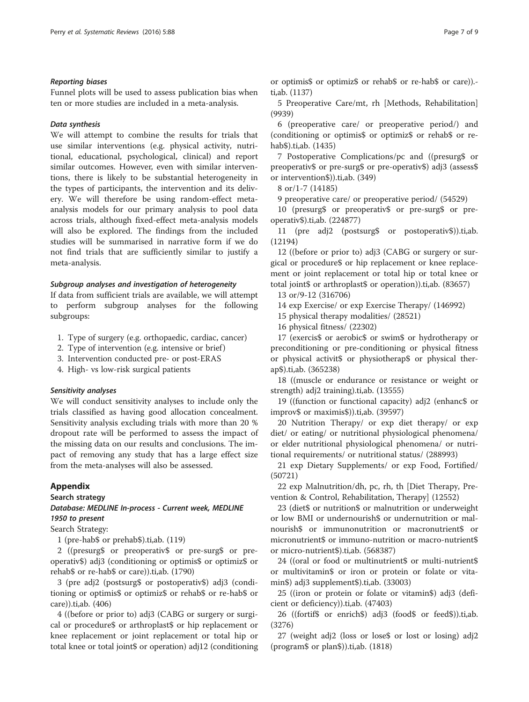## <span id="page-6-0"></span>Reporting biases

Funnel plots will be used to assess publication bias when ten or more studies are included in a meta-analysis.

## Data synthesis

We will attempt to combine the results for trials that use similar interventions (e.g. physical activity, nutritional, educational, psychological, clinical) and report similar outcomes. However, even with similar interventions, there is likely to be substantial heterogeneity in the types of participants, the intervention and its delivery. We will therefore be using random-effect metaanalysis models for our primary analysis to pool data across trials, although fixed-effect meta-analysis models will also be explored. The findings from the included studies will be summarised in narrative form if we do not find trials that are sufficiently similar to justify a meta-analysis.

#### Subgroup analyses and investigation of heterogeneity

If data from sufficient trials are available, we will attempt to perform subgroup analyses for the following subgroups:

- 1. Type of surgery (e.g. orthopaedic, cardiac, cancer)
- 2. Type of intervention (e.g. intensive or brief )
- 3. Intervention conducted pre- or post-ERAS
- 4. High- vs low-risk surgical patients

#### Sensitivity analyses

We will conduct sensitivity analyses to include only the trials classified as having good allocation concealment. Sensitivity analysis excluding trials with more than 20 % dropout rate will be performed to assess the impact of the missing data on our results and conclusions. The impact of removing any study that has a large effect size from the meta-analyses will also be assessed.

## Appendix

Search strategy

## Database: MEDLINE In-process - Current week, MEDLINE 1950 to present

Search Strategy:

1 (pre-hab\$ or prehab\$).ti,ab. (119)

2 ((presurg\$ or preoperativ\$ or pre-surg\$ or preoperativ\$) adj3 (conditioning or optimis\$ or optimiz\$ or rehab\$ or re-hab\$ or care)).ti,ab. (1790)

3 (pre adj2 (postsurg\$ or postoperativ\$) adj3 (conditioning or optimis\$ or optimiz\$ or rehab\$ or re-hab\$ or care)).ti,ab. (406)

4 ((before or prior to) adj3 (CABG or surgery or surgical or procedure\$ or arthroplast\$ or hip replacement or knee replacement or joint replacement or total hip or total knee or total joint\$ or operation) adj12 (conditioning or optimis\$ or optimiz\$ or rehab\$ or re-hab\$ or care)). ti,ab. (1137)

5 Preoperative Care/mt, rh [Methods, Rehabilitation] (9939)

6 (preoperative care/ or preoperative period/) and (conditioning or optimis\$ or optimiz\$ or rehab\$ or rehab\$).ti,ab. (1435)

7 Postoperative Complications/pc and ((presurg\$ or preoperativ\$ or pre-surg\$ or pre-operativ\$) adj3 (assess\$ or intervention\$)).ti,ab. (349)

8 or/1-7 (14185)

9 preoperative care/ or preoperative period/ (54529)

10 (presurg\$ or preoperativ\$ or pre-surg\$ or preoperativ\$).ti,ab. (224877)

11 (pre adj2 (postsurg\$ or postoperativ\$)).ti,ab. (12194)

12 ((before or prior to) adj3 (CABG or surgery or surgical or procedure\$ or hip replacement or knee replacement or joint replacement or total hip or total knee or total joint\$ or arthroplast\$ or operation)).ti,ab. (83657)

13 or/9-12 (316706)

14 exp Exercise/ or exp Exercise Therapy/ (146992)

15 physical therapy modalities/ (28521)

16 physical fitness/ (22302)

17 (exercis\$ or aerobic\$ or swim\$ or hydrotherapy or preconditioning or pre-conditioning or physical fitness or physical activit\$ or physiotherap\$ or physical therap\$).ti,ab. (365238)

18 ((muscle or endurance or resistance or weight or strength) adj2 training).ti,ab. (13555)

19 ((function or functional capacity) adj2 (enhanc\$ or improv\$ or maximis\$)).ti,ab. (39597)

20 Nutrition Therapy/ or exp diet therapy/ or exp diet/ or eating/ or nutritional physiological phenomena/ or elder nutritional physiological phenomena/ or nutritional requirements/ or nutritional status/ (288993)

21 exp Dietary Supplements/ or exp Food, Fortified/ (50721)

22 exp Malnutrition/dh, pc, rh, th [Diet Therapy, Prevention & Control, Rehabilitation, Therapy] (12552)

23 (diet\$ or nutrition\$ or malnutrition or underweight or low BMI or undernourish\$ or undernutrition or malnourish\$ or immunonutrition or macronutrient\$ or micronutrient\$ or immuno-nutrition or macro-nutrient\$ or micro-nutrient\$).ti,ab. (568387)

24 ((oral or food or multinutrient\$ or multi-nutrient\$ or multivitamin\$ or iron or protein or folate or vitamin\$) adj3 supplement\$).ti,ab. (33003)

25 ((iron or protein or folate or vitamin\$) adj3 (deficient or deficiency)).ti,ab. (47403)

26 ((fortif\$ or enrich\$) adj3 (food\$ or feed\$)).ti,ab. (3276)

27 (weight adj2 (loss or lose\$ or lost or losing) adj2 (program\$ or plan\$)).ti,ab. (1818)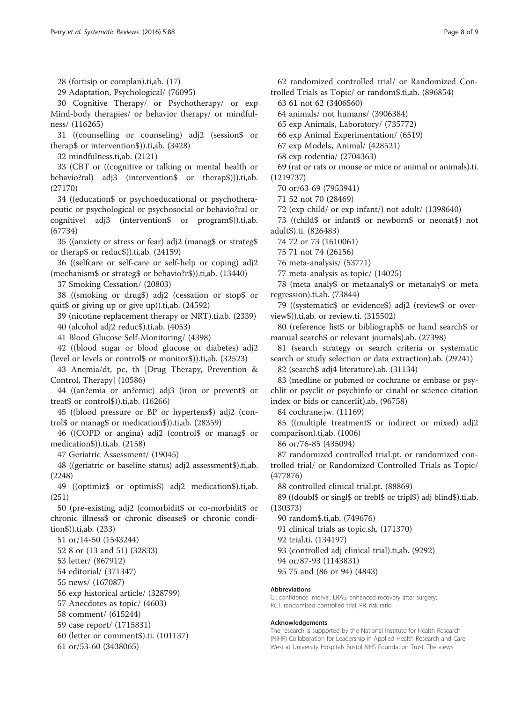28 (fortisip or complan).ti,ab. (17)

29 Adaptation, Psychological/ (76095)

30 Cognitive Therapy/ or Psychotherapy/ or exp Mind-body therapies/ or behavior therapy/ or mindfulness/ (116265)

31 ((counselling or counseling) adj2 (session\$ or therap\$ or intervention\$)).ti,ab. (3428)

32 mindfulness.ti,ab. (2121)

33 (CBT or ((cognitive or talking or mental health or behavio?ral) adj3 (intervention\$ or therap\$))).ti,ab. (27170)

34 ((education\$ or psychoeducational or psychotherapeutic or psychological or psychosocial or behavio?ral or cognitive) adj3 (intervention\$ or program\$)).ti,ab. (67734)

35 ((anxiety or stress or fear) adj2 (manag\$ or strateg\$ or therap\$ or reduc\$)).ti,ab. (24159)

36 ((selfcare or self-care or self-help or coping) adj2 (mechanism\$ or strateg\$ or behavio?r\$)).ti,ab. (13440)

37 Smoking Cessation/ (20803)

38 ((smoking or drug\$) adj2 (cessation or stop\$ or quit\$ or giving up or give up)).ti,ab. (24592)

39 (nicotine replacement therapy or NRT).ti,ab. (2339)

40 (alcohol adj2 reduc\$).ti,ab. (4053)

41 Blood Glucose Self-Monitoring/ (4398)

42 ((blood sugar or blood glucose or diabetes) adj2 (level or levels or control\$ or monitor\$)).ti,ab. (32523)

43 Anemia/dt, pc, th [Drug Therapy, Prevention & Control, Therapy] (10586)

44 ((an?emia or an?emic) adj3 (iron or prevent\$ or treat\$ or control\$)).ti,ab. (16266)

45 ((blood pressure or BP or hypertens\$) adj2 (control\$ or manag\$ or medication\$)).ti,ab. (28359)

46 ((COPD or angina) adj2 (control\$ or manag\$ or medication\$)).ti,ab. (2158)

47 Geriatric Assessment/ (19045)

48 ((geriatric or baseline status) adj2 assessment\$).ti,ab. (2248)

49 ((optimiz\$ or optimis\$) adj2 medication\$).ti,ab. (251)

50 (pre-existing adj2 (comorbidit\$ or co-morbidit\$ or chronic illness\$ or chronic disease\$ or chronic condition\$)).ti,ab. (233)

51 or/14-50 (1543244)

52 8 or (13 and 51) (32833)

53 letter/ (867912)

54 editorial/ (371347)

55 news/ (167087)

56 exp historical article/ (328799)

57 Anecdotes as topic/ (4603)

58 comment/ (615244)

59 case report/ (1715831)

60 (letter or comment\$).ti. (101137)

61 or/53-60 (3438065)

62 randomized controlled trial/ or Randomized Con-

trolled Trials as Topic/ or random\$.ti,ab. (896854)

63 61 not 62 (3406560)

64 animals/ not humans/ (3906384)

65 exp Animals, Laboratory/ (735772)

66 exp Animal Experimentation/ (6519)

67 exp Models, Animal/ (428521)

68 exp rodentia/ (2704363)

69 (rat or rats or mouse or mice or animal or animals).ti. (1219737)

70 or/63-69 (7953941)

71 52 not 70 (28469)

72 (exp child/ or exp infant/) not adult/ (1398640)

73 ((child\$ or infant\$ or newborn\$ or neonat\$) not adult\$).ti. (826483)

74 72 or 73 (1610061)

75 71 not 74 (26156)

76 meta-analysis/ (53771)

77 meta-analysis as topic/ (14025)

78 (meta analy\$ or metaanaly\$ or metanaly\$ or meta regression).ti,ab. (73844)

79 ((systematic\$ or evidence\$) adj2 (review\$ or overview\$)).ti,ab. or review.ti. (315502)

80 (reference list\$ or bibliograph\$ or hand search\$ or manual search\$ or relevant journals).ab. (27398)

81 (search strategy or search criteria or systematic search or study selection or data extraction).ab. (29241)

82 (search\$ adj4 literature).ab. (31134)

83 (medline or pubmed or cochrane or embase or psychlit or psyclit or psychinfo or cinahl or science citation index or bids or cancerlit).ab. (96758)

84 cochrane.jw. (11169)

85 ((multiple treatment\$ or indirect or mixed) adj2 comparison).ti,ab. (1006)

86 or/76-85 (435094)

87 randomized controlled trial.pt. or randomized controlled trial/ or Randomized Controlled Trials as Topic/ (477876)

88 controlled clinical trial.pt. (88869)

89 ((doubl\$ or singl\$ or trebl\$ or tripl\$) adj blind\$).ti,ab. (130373)

90 random\$.ti,ab. (749676)

91 clinical trials as topic.sh. (171370)

92 trial.ti. (134197)

93 (controlled adj clinical trial).ti,ab. (9292)

94 or/87-93 (1143831)

95 75 and (86 or 94) (4843)

#### Abbreviations

CI: confidence interval; ERAS: enhanced recovery after surgery; RCT: randomised controlled trial; RR: risk ratio.

#### Acknowledgements

The research is supported by the National Institute for Health Research (NIHR) Collaboration for Leadership in Applied Health Research and Care West at University Hospitals Bristol NHS Foundation Trust. The views